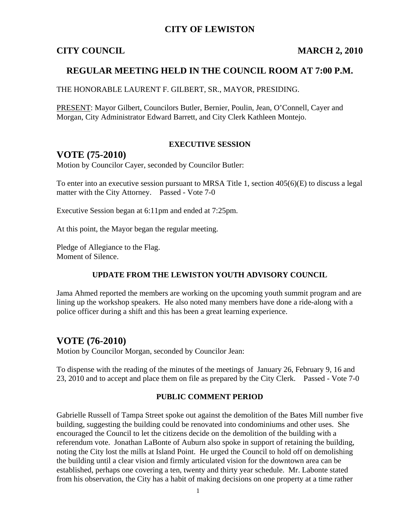### **CITY OF LEWISTON**

### **CITY COUNCIL MARCH 2, 2010**

### **REGULAR MEETING HELD IN THE COUNCIL ROOM AT 7:00 P.M.**

THE HONORABLE LAURENT F. GILBERT, SR., MAYOR, PRESIDING.

PRESENT: Mayor Gilbert, Councilors Butler, Bernier, Poulin, Jean, O'Connell, Cayer and Morgan, City Administrator Edward Barrett, and City Clerk Kathleen Montejo.

#### **EXECUTIVE SESSION**

### **VOTE (75-2010)**

Motion by Councilor Cayer, seconded by Councilor Butler:

To enter into an executive session pursuant to MRSA Title 1, section 405(6)(E) to discuss a legal matter with the City Attorney. Passed - Vote 7-0

Executive Session began at 6:11pm and ended at 7:25pm.

At this point, the Mayor began the regular meeting.

Pledge of Allegiance to the Flag. Moment of Silence.

#### **UPDATE FROM THE LEWISTON YOUTH ADVISORY COUNCIL**

Jama Ahmed reported the members are working on the upcoming youth summit program and are lining up the workshop speakers. He also noted many members have done a ride-along with a police officer during a shift and this has been a great learning experience.

### **VOTE (76-2010)**

Motion by Councilor Morgan, seconded by Councilor Jean:

To dispense with the reading of the minutes of the meetings of January 26, February 9, 16 and 23, 2010 and to accept and place them on file as prepared by the City Clerk. Passed - Vote 7-0

#### **PUBLIC COMMENT PERIOD**

Gabrielle Russell of Tampa Street spoke out against the demolition of the Bates Mill number five building, suggesting the building could be renovated into condominiums and other uses. She encouraged the Council to let the citizens decide on the demolition of the building with a referendum vote. Jonathan LaBonte of Auburn also spoke in support of retaining the building, noting the City lost the mills at Island Point. He urged the Council to hold off on demolishing the building until a clear vision and firmly articulated vision for the downtown area can be established, perhaps one covering a ten, twenty and thirty year schedule. Mr. Labonte stated from his observation, the City has a habit of making decisions on one property at a time rather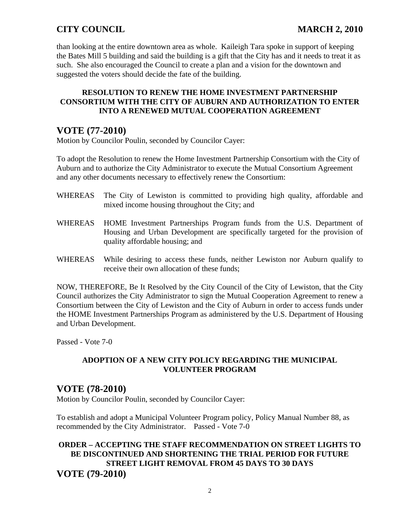than looking at the entire downtown area as whole. Kaileigh Tara spoke in support of keeping the Bates Mill 5 building and said the building is a gift that the City has and it needs to treat it as such. She also encouraged the Council to create a plan and a vision for the downtown and suggested the voters should decide the fate of the building.

#### **RESOLUTION TO RENEW THE HOME INVESTMENT PARTNERSHIP CONSORTIUM WITH THE CITY OF AUBURN AND AUTHORIZATION TO ENTER INTO A RENEWED MUTUAL COOPERATION AGREEMENT**

# **VOTE (77-2010)**

Motion by Councilor Poulin, seconded by Councilor Cayer:

To adopt the Resolution to renew the Home Investment Partnership Consortium with the City of Auburn and to authorize the City Administrator to execute the Mutual Consortium Agreement and any other documents necessary to effectively renew the Consortium:

- WHEREAS The City of Lewiston is committed to providing high quality, affordable and mixed income housing throughout the City; and
- WHEREAS HOME Investment Partnerships Program funds from the U.S. Department of Housing and Urban Development are specifically targeted for the provision of quality affordable housing; and
- WHEREAS While desiring to access these funds, neither Lewiston nor Auburn qualify to receive their own allocation of these funds;

NOW, THEREFORE, Be It Resolved by the City Council of the City of Lewiston, that the City Council authorizes the City Administrator to sign the Mutual Cooperation Agreement to renew a Consortium between the City of Lewiston and the City of Auburn in order to access funds under the HOME Investment Partnerships Program as administered by the U.S. Department of Housing and Urban Development.

Passed - Vote 7-0

#### **ADOPTION OF A NEW CITY POLICY REGARDING THE MUNICIPAL VOLUNTEER PROGRAM**

# **VOTE (78-2010)**

Motion by Councilor Poulin, seconded by Councilor Cayer:

To establish and adopt a Municipal Volunteer Program policy, Policy Manual Number 88, as recommended by the City Administrator. Passed - Vote 7-0

### **ORDER – ACCEPTING THE STAFF RECOMMENDATION ON STREET LIGHTS TO BE DISCONTINUED AND SHORTENING THE TRIAL PERIOD FOR FUTURE STREET LIGHT REMOVAL FROM 45 DAYS TO 30 DAYS VOTE (79-2010)**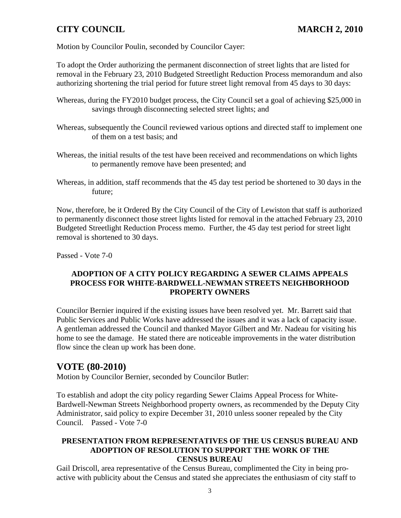Motion by Councilor Poulin, seconded by Councilor Cayer:

To adopt the Order authorizing the permanent disconnection of street lights that are listed for removal in the February 23, 2010 Budgeted Streetlight Reduction Process memorandum and also authorizing shortening the trial period for future street light removal from 45 days to 30 days:

- Whereas, during the FY2010 budget process, the City Council set a goal of achieving \$25,000 in savings through disconnecting selected street lights; and
- Whereas, subsequently the Council reviewed various options and directed staff to implement one of them on a test basis; and
- Whereas, the initial results of the test have been received and recommendations on which lights to permanently remove have been presented; and
- Whereas, in addition, staff recommends that the 45 day test period be shortened to 30 days in the future;

Now, therefore, be it Ordered By the City Council of the City of Lewiston that staff is authorized to permanently disconnect those street lights listed for removal in the attached February 23, 2010 Budgeted Streetlight Reduction Process memo. Further, the 45 day test period for street light removal is shortened to 30 days.

Passed - Vote 7-0

#### **ADOPTION OF A CITY POLICY REGARDING A SEWER CLAIMS APPEALS PROCESS FOR WHITE-BARDWELL-NEWMAN STREETS NEIGHBORHOOD PROPERTY OWNERS**

Councilor Bernier inquired if the existing issues have been resolved yet. Mr. Barrett said that Public Services and Public Works have addressed the issues and it was a lack of capacity issue. A gentleman addressed the Council and thanked Mayor Gilbert and Mr. Nadeau for visiting his home to see the damage. He stated there are noticeable improvements in the water distribution flow since the clean up work has been done.

# **VOTE (80-2010)**

Motion by Councilor Bernier, seconded by Councilor Butler:

To establish and adopt the city policy regarding Sewer Claims Appeal Process for White-Bardwell-Newman Streets Neighborhood property owners, as recommended by the Deputy City Administrator, said policy to expire December 31, 2010 unless sooner repealed by the City Council. Passed - Vote 7-0

#### **PRESENTATION FROM REPRESENTATIVES OF THE US CENSUS BUREAU AND ADOPTION OF RESOLUTION TO SUPPORT THE WORK OF THE CENSUS BUREAU**

Gail Driscoll, area representative of the Census Bureau, complimented the City in being proactive with publicity about the Census and stated she appreciates the enthusiasm of city staff to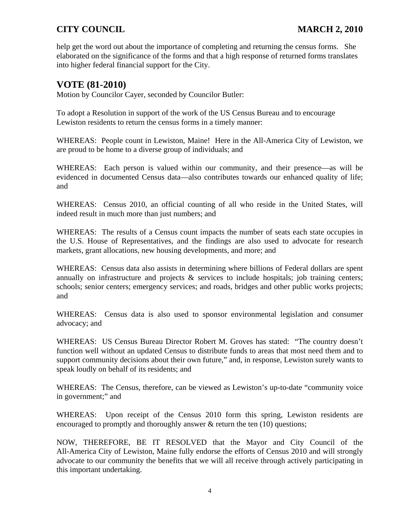help get the word out about the importance of completing and returning the census forms. She elaborated on the significance of the forms and that a high response of returned forms translates into higher federal financial support for the City.

### **VOTE (81-2010)**

Motion by Councilor Cayer, seconded by Councilor Butler:

To adopt a Resolution in support of the work of the US Census Bureau and to encourage Lewiston residents to return the census forms in a timely manner:

WHEREAS: People count in Lewiston, Maine! Here in the All-America City of Lewiston, we are proud to be home to a diverse group of individuals; and

WHEREAS: Each person is valued within our community, and their presence—as will be evidenced in documented Census data—also contributes towards our enhanced quality of life; and

WHEREAS: Census 2010, an official counting of all who reside in the United States, will indeed result in much more than just numbers; and

WHEREAS: The results of a Census count impacts the number of seats each state occupies in the U.S. House of Representatives, and the findings are also used to advocate for research markets, grant allocations, new housing developments, and more; and

WHEREAS: Census data also assists in determining where billions of Federal dollars are spent annually on infrastructure and projects  $\&$  services to include hospitals; job training centers; schools; senior centers; emergency services; and roads, bridges and other public works projects; and

WHEREAS: Census data is also used to sponsor environmental legislation and consumer advocacy; and

WHEREAS: US Census Bureau Director Robert M. Groves has stated: "The country doesn't function well without an updated Census to distribute funds to areas that most need them and to support community decisions about their own future," and, in response, Lewiston surely wants to speak loudly on behalf of its residents; and

WHEREAS: The Census, therefore, can be viewed as Lewiston's up-to-date "community voice in government;" and

WHEREAS: Upon receipt of the Census 2010 form this spring, Lewiston residents are encouraged to promptly and thoroughly answer & return the ten (10) questions;

NOW, THEREFORE, BE IT RESOLVED that the Mayor and City Council of the All-America City of Lewiston, Maine fully endorse the efforts of Census 2010 and will strongly advocate to our community the benefits that we will all receive through actively participating in this important undertaking.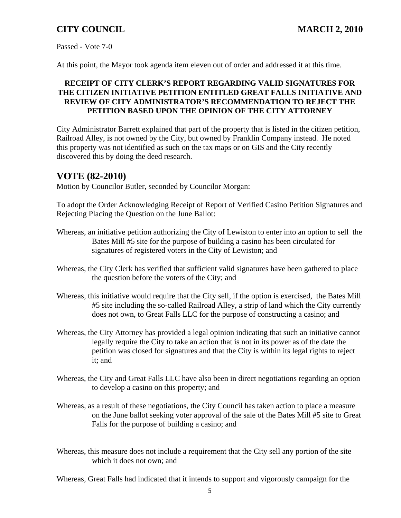Passed - Vote 7-0

At this point, the Mayor took agenda item eleven out of order and addressed it at this time.

### **RECEIPT OF CITY CLERK'S REPORT REGARDING VALID SIGNATURES FOR THE CITIZEN INITIATIVE PETITION ENTITLED GREAT FALLS INITIATIVE AND REVIEW OF CITY ADMINISTRATOR'S RECOMMENDATION TO REJECT THE PETITION BASED UPON THE OPINION OF THE CITY ATTORNEY**

City Administrator Barrett explained that part of the property that is listed in the citizen petition, Railroad Alley, is not owned by the City, but owned by Franklin Company instead. He noted this property was not identified as such on the tax maps or on GIS and the City recently discovered this by doing the deed research.

# **VOTE (82-2010)**

Motion by Councilor Butler, seconded by Councilor Morgan:

To adopt the Order Acknowledging Receipt of Report of Verified Casino Petition Signatures and Rejecting Placing the Question on the June Ballot:

- Whereas, an initiative petition authorizing the City of Lewiston to enter into an option to sell the Bates Mill #5 site for the purpose of building a casino has been circulated for signatures of registered voters in the City of Lewiston; and
- Whereas, the City Clerk has verified that sufficient valid signatures have been gathered to place the question before the voters of the City; and
- Whereas, this initiative would require that the City sell, if the option is exercised, the Bates Mill #5 site including the so-called Railroad Alley, a strip of land which the City currently does not own, to Great Falls LLC for the purpose of constructing a casino; and
- Whereas, the City Attorney has provided a legal opinion indicating that such an initiative cannot legally require the City to take an action that is not in its power as of the date the petition was closed for signatures and that the City is within its legal rights to reject it; and
- Whereas, the City and Great Falls LLC have also been in direct negotiations regarding an option to develop a casino on this property; and
- Whereas, as a result of these negotiations, the City Council has taken action to place a measure on the June ballot seeking voter approval of the sale of the Bates Mill #5 site to Great Falls for the purpose of building a casino; and
- Whereas, this measure does not include a requirement that the City sell any portion of the site which it does not own; and

Whereas, Great Falls had indicated that it intends to support and vigorously campaign for the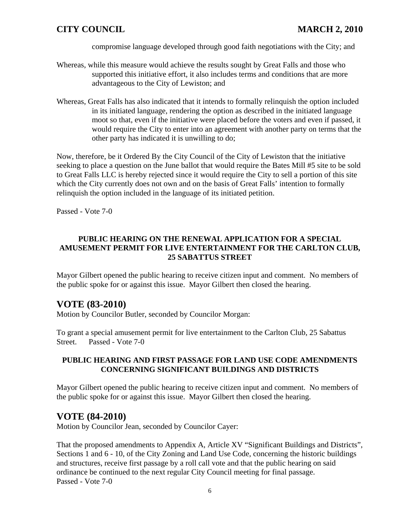compromise language developed through good faith negotiations with the City; and

- Whereas, while this measure would achieve the results sought by Great Falls and those who supported this initiative effort, it also includes terms and conditions that are more advantageous to the City of Lewiston; and
- Whereas, Great Falls has also indicated that it intends to formally relinquish the option included in its initiated language, rendering the option as described in the initiated language moot so that, even if the initiative were placed before the voters and even if passed, it would require the City to enter into an agreement with another party on terms that the other party has indicated it is unwilling to do;

Now, therefore, be it Ordered By the City Council of the City of Lewiston that the initiative seeking to place a question on the June ballot that would require the Bates Mill #5 site to be sold to Great Falls LLC is hereby rejected since it would require the City to sell a portion of this site which the City currently does not own and on the basis of Great Falls' intention to formally relinquish the option included in the language of its initiated petition.

Passed - Vote 7-0

### **PUBLIC HEARING ON THE RENEWAL APPLICATION FOR A SPECIAL AMUSEMENT PERMIT FOR LIVE ENTERTAINMENT FOR THE CARLTON CLUB, 25 SABATTUS STREET**

Mayor Gilbert opened the public hearing to receive citizen input and comment. No members of the public spoke for or against this issue. Mayor Gilbert then closed the hearing.

### **VOTE (83-2010)**

Motion by Councilor Butler, seconded by Councilor Morgan:

To grant a special amusement permit for live entertainment to the Carlton Club, 25 Sabattus Street. Passed - Vote 7-0

#### **PUBLIC HEARING AND FIRST PASSAGE FOR LAND USE CODE AMENDMENTS CONCERNING SIGNIFICANT BUILDINGS AND DISTRICTS**

Mayor Gilbert opened the public hearing to receive citizen input and comment. No members of the public spoke for or against this issue. Mayor Gilbert then closed the hearing.

### **VOTE (84-2010)**

Motion by Councilor Jean, seconded by Councilor Cayer:

That the proposed amendments to Appendix A, Article XV "Significant Buildings and Districts", Sections 1 and 6 - 10, of the City Zoning and Land Use Code, concerning the historic buildings and structures, receive first passage by a roll call vote and that the public hearing on said ordinance be continued to the next regular City Council meeting for final passage. Passed - Vote 7-0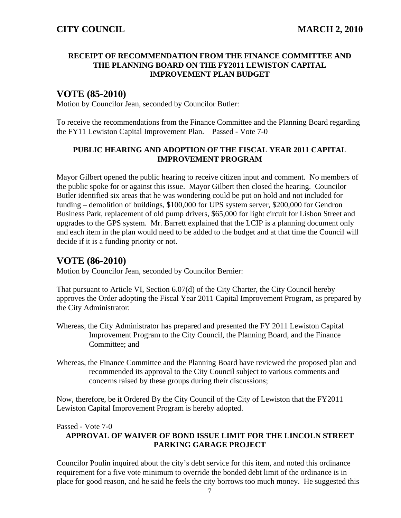#### **RECEIPT OF RECOMMENDATION FROM THE FINANCE COMMITTEE AND THE PLANNING BOARD ON THE FY2011 LEWISTON CAPITAL IMPROVEMENT PLAN BUDGET**

# **VOTE (85-2010)**

Motion by Councilor Jean, seconded by Councilor Butler:

To receive the recommendations from the Finance Committee and the Planning Board regarding the FY11 Lewiston Capital Improvement Plan. Passed - Vote 7-0

#### **PUBLIC HEARING AND ADOPTION OF THE FISCAL YEAR 2011 CAPITAL IMPROVEMENT PROGRAM**

Mayor Gilbert opened the public hearing to receive citizen input and comment. No members of the public spoke for or against this issue. Mayor Gilbert then closed the hearing. Councilor Butler identified six areas that he was wondering could be put on hold and not included for funding – demolition of buildings, \$100,000 for UPS system server, \$200,000 for Gendron Business Park, replacement of old pump drivers, \$65,000 for light circuit for Lisbon Street and upgrades to the GPS system. Mr. Barrett explained that the LCIP is a planning document only and each item in the plan would need to be added to the budget and at that time the Council will decide if it is a funding priority or not.

### **VOTE (86-2010)**

Motion by Councilor Jean, seconded by Councilor Bernier:

That pursuant to Article VI, Section 6.07(d) of the City Charter, the City Council hereby approves the Order adopting the Fiscal Year 2011 Capital Improvement Program, as prepared by the City Administrator:

- Whereas, the City Administrator has prepared and presented the FY 2011 Lewiston Capital Improvement Program to the City Council, the Planning Board, and the Finance Committee; and
- Whereas, the Finance Committee and the Planning Board have reviewed the proposed plan and recommended its approval to the City Council subject to various comments and concerns raised by these groups during their discussions;

Now, therefore, be it Ordered By the City Council of the City of Lewiston that the FY2011 Lewiston Capital Improvement Program is hereby adopted.

#### Passed - Vote 7-0

#### **APPROVAL OF WAIVER OF BOND ISSUE LIMIT FOR THE LINCOLN STREET PARKING GARAGE PROJECT**

Councilor Poulin inquired about the city's debt service for this item, and noted this ordinance requirement for a five vote minimum to override the bonded debt limit of the ordinance is in place for good reason, and he said he feels the city borrows too much money. He suggested this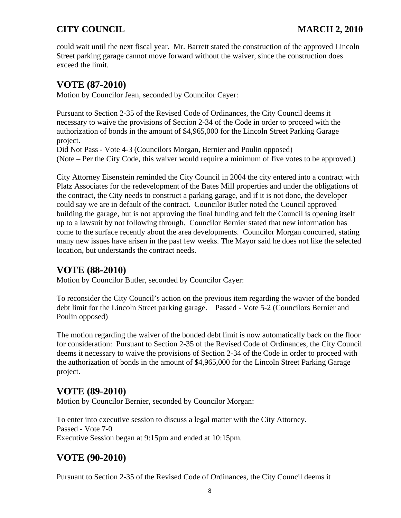could wait until the next fiscal year. Mr. Barrett stated the construction of the approved Lincoln Street parking garage cannot move forward without the waiver, since the construction does exceed the limit.

# **VOTE (87-2010)**

Motion by Councilor Jean, seconded by Councilor Cayer:

Pursuant to Section 2-35 of the Revised Code of Ordinances, the City Council deems it necessary to waive the provisions of Section 2-34 of the Code in order to proceed with the authorization of bonds in the amount of \$4,965,000 for the Lincoln Street Parking Garage project.

Did Not Pass - Vote 4-3 (Councilors Morgan, Bernier and Poulin opposed) (Note – Per the City Code, this waiver would require a minimum of five votes to be approved.)

City Attorney Eisenstein reminded the City Council in 2004 the city entered into a contract with Platz Associates for the redevelopment of the Bates Mill properties and under the obligations of the contract, the City needs to construct a parking garage, and if it is not done, the developer could say we are in default of the contract. Councilor Butler noted the Council approved building the garage, but is not approving the final funding and felt the Council is opening itself up to a lawsuit by not following through. Councilor Bernier stated that new information has come to the surface recently about the area developments. Councilor Morgan concurred, stating many new issues have arisen in the past few weeks. The Mayor said he does not like the selected location, but understands the contract needs.

# **VOTE (88-2010)**

Motion by Councilor Butler, seconded by Councilor Cayer:

To reconsider the City Council's action on the previous item regarding the wavier of the bonded debt limit for the Lincoln Street parking garage. Passed - Vote 5-2 (Councilors Bernier and Poulin opposed)

The motion regarding the waiver of the bonded debt limit is now automatically back on the floor for consideration: Pursuant to Section 2-35 of the Revised Code of Ordinances, the City Council deems it necessary to waive the provisions of Section 2-34 of the Code in order to proceed with the authorization of bonds in the amount of \$4,965,000 for the Lincoln Street Parking Garage project.

# **VOTE (89-2010)**

Motion by Councilor Bernier, seconded by Councilor Morgan:

To enter into executive session to discuss a legal matter with the City Attorney. Passed - Vote 7-0 Executive Session began at 9:15pm and ended at 10:15pm.

# **VOTE (90-2010)**

Pursuant to Section 2-35 of the Revised Code of Ordinances, the City Council deems it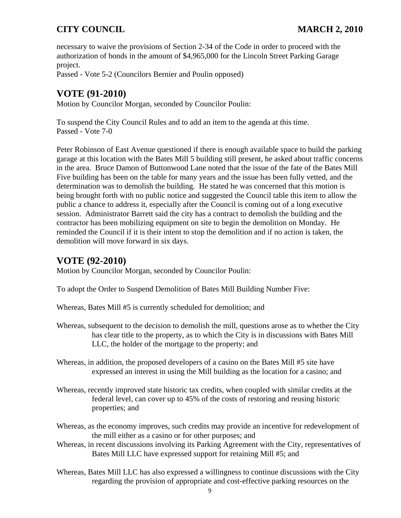necessary to waive the provisions of Section 2-34 of the Code in order to proceed with the authorization of bonds in the amount of \$4,965,000 for the Lincoln Street Parking Garage project.

Passed - Vote 5-2 (Councilors Bernier and Poulin opposed)

# **VOTE (91-2010)**

Motion by Councilor Morgan, seconded by Councilor Poulin:

To suspend the City Council Rules and to add an item to the agenda at this time. Passed - Vote 7-0

Peter Robinson of East Avenue questioned if there is enough available space to build the parking garage at this location with the Bates Mill 5 building still present, he asked about traffic concerns in the area. Bruce Damon of Buttonwood Lane noted that the issue of the fate of the Bates Mill Five building has been on the table for many years and the issue has been fully vetted, and the determination was to demolish the building. He stated he was concerned that this motion is being brought forth with no public notice and suggested the Council table this item to allow the public a chance to address it, especially after the Council is coming out of a long executive session. Administrator Barrett said the city has a contract to demolish the building and the contractor has been mobilizing equipment on site to begin the demolition on Monday. He reminded the Council if it is their intent to stop the demolition and if no action is taken, the demolition will move forward in six days.

# **VOTE (92-2010)**

Motion by Councilor Morgan, seconded by Councilor Poulin:

To adopt the Order to Suspend Demolition of Bates Mill Building Number Five:

Whereas, Bates Mill #5 is currently scheduled for demolition; and

- Whereas, subsequent to the decision to demolish the mill, questions arose as to whether the City has clear title to the property, as to which the City is in discussions with Bates Mill LLC, the holder of the mortgage to the property; and
- Whereas, in addition, the proposed developers of a casino on the Bates Mill #5 site have expressed an interest in using the Mill building as the location for a casino; and
- Whereas, recently improved state historic tax credits, when coupled with similar credits at the federal level, can cover up to 45% of the costs of restoring and reusing historic properties; and
- Whereas, as the economy improves, such credits may provide an incentive for redevelopment of the mill either as a casino or for other purposes; and
- Whereas, in recent discussions involving its Parking Agreement with the City, representatives of Bates Mill LLC have expressed support for retaining Mill #5; and
- Whereas, Bates Mill LLC has also expressed a willingness to continue discussions with the City regarding the provision of appropriate and cost-effective parking resources on the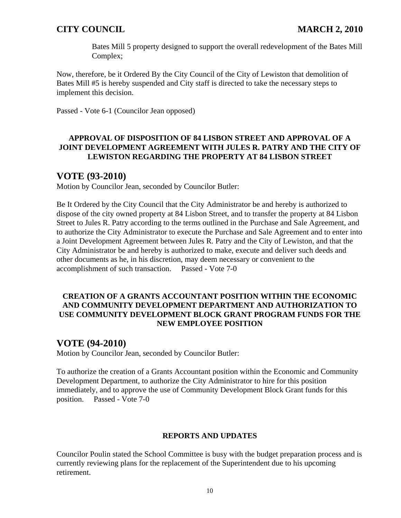Bates Mill 5 property designed to support the overall redevelopment of the Bates Mill Complex;

Now, therefore, be it Ordered By the City Council of the City of Lewiston that demolition of Bates Mill #5 is hereby suspended and City staff is directed to take the necessary steps to implement this decision.

Passed - Vote 6-1 (Councilor Jean opposed)

#### **APPROVAL OF DISPOSITION OF 84 LISBON STREET AND APPROVAL OF A JOINT DEVELOPMENT AGREEMENT WITH JULES R. PATRY AND THE CITY OF LEWISTON REGARDING THE PROPERTY AT 84 LISBON STREET**

### **VOTE (93-2010)**

Motion by Councilor Jean, seconded by Councilor Butler:

Be It Ordered by the City Council that the City Administrator be and hereby is authorized to dispose of the city owned property at 84 Lisbon Street, and to transfer the property at 84 Lisbon Street to Jules R. Patry according to the terms outlined in the Purchase and Sale Agreement, and to authorize the City Administrator to execute the Purchase and Sale Agreement and to enter into a Joint Development Agreement between Jules R. Patry and the City of Lewiston, and that the City Administrator be and hereby is authorized to make, execute and deliver such deeds and other documents as he, in his discretion, may deem necessary or convenient to the accomplishment of such transaction. Passed - Vote 7-0

#### **CREATION OF A GRANTS ACCOUNTANT POSITION WITHIN THE ECONOMIC AND COMMUNITY DEVELOPMENT DEPARTMENT AND AUTHORIZATION TO USE COMMUNITY DEVELOPMENT BLOCK GRANT PROGRAM FUNDS FOR THE NEW EMPLOYEE POSITION**

# **VOTE (94-2010)**

Motion by Councilor Jean, seconded by Councilor Butler:

To authorize the creation of a Grants Accountant position within the Economic and Community Development Department, to authorize the City Administrator to hire for this position immediately, and to approve the use of Community Development Block Grant funds for this position. Passed - Vote 7-0

#### **REPORTS AND UPDATES**

Councilor Poulin stated the School Committee is busy with the budget preparation process and is currently reviewing plans for the replacement of the Superintendent due to his upcoming retirement.